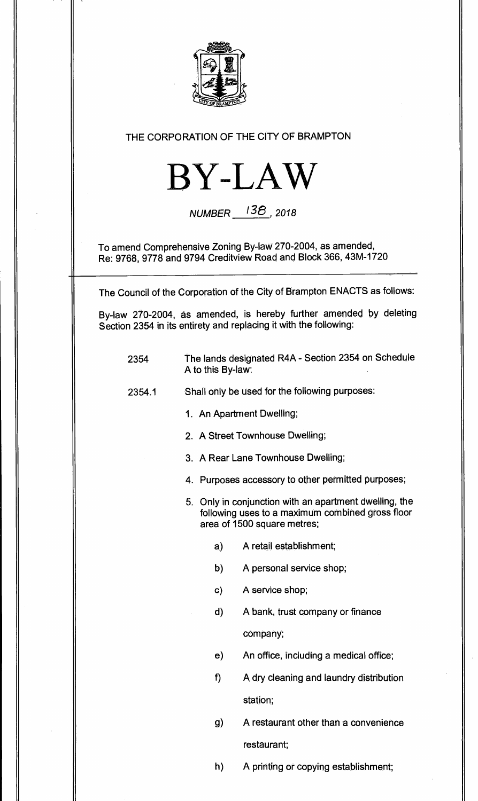

## **THE CORPORATION OF THE CITY OF BRAMPTON**



**NUMBER** (38, **<sup>2018</sup>**

**To amend Comprehensive Zoning By-law 270-2004, as amended, Re: 9768, 9778 and 9794 Creditview Road and Block 366, 43M-1720** 

**The Council of the Corporation of the City of Brampton ENACTS as follows:** 

**By-law 270-2004, as amended, is hereby further amended by deleting Section 2354 in its entirety and replacing it with the following:** 

- **2354 The lands designated R4A Section 2354 on Schedule A to this By-law:**
- **2354.1 Shall only be used for the following purposes:** 
	- **1. An Apartment Dwelling;**
	- **2. A Street Townhouse Dwelling;**
	- **3. A Rear Lane Townhouse Dwelling;**
	- **4. Purposes accessory to other permitted purposes;**
	- **5. Only in conjunction with an apartment dwelling, the following uses to a maximum combined gross floor area of 1500 square metres;** 
		- **a) A retail establishment;**
		- **b) A personal service shop;**
		- **c) A service shop;**
		- **d) A bank, trust company or finance**

**company;** 

- **e) An office, including a medical office;**
- **f) A dry cleaning and laundry distribution station;**
- **g) A restaurant other than a convenience restaurant;**
- **h) A printing or copying establishment;**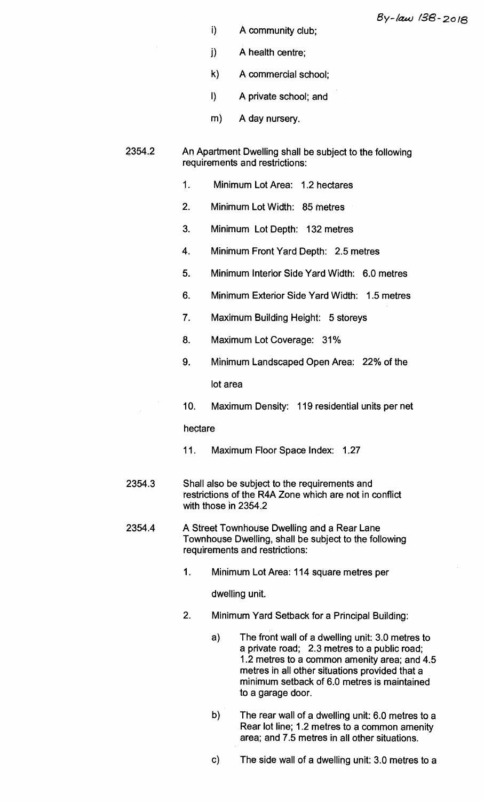- **i) A community club;**
- **j) A health centre;**
- **k) A commercial school;**
- **I) A private school; and**
- **m) A day nursery.**

## **2354.2 An Apartment Dwelling shall be subject to the following requirements and restrictions:**

- **1. Minimum Lot Area: 1.2 hectares**
- **2. Minimum Lot Width: 85 metres**
- **3. Minimum Lot Depth: 132 metres**
- **4. Minimum Front Yard Depth: 2.5 metres**
- **5. Minimum Interior Side Yard Width: 6.0 metres**
- **6. Minimum Exterior Side Yard Width: 1.5 metres**
- **7. Maximum Building Height: 5 storeys**
- **8. Maximum Lot Coverage: 31%**
- **9. Minimum Landscaped Open Area: 22% of the lot area**
- **10. Maximum Density: 119 residential units per net**

## **hectare**

- **11. Maximum Floor Space Index: 1.27**
- **2354.3 Shall also be subject to the requirements and restrictions of the R4A Zone which are not in conflict with those in 2354.2**
- **2354.4 A Street Townhouse Dwelling and a Rear Lane Townhouse Dwelling, shall be subject to the following requirements and restrictions:** 
	- **1. Minimum Lot Area: 114 square metres per**

**dwelling unit.** 

- **2. Minimum Yard Setback for a Principal Building:** 
	- **a) The front wall of a dwelling unit: 3.0 metres to a private road; 2.3 metres to a public road; 1.2 metres to a common amenity area; and 4.5 metres in all other situations provided that a minimum setback of 6.0 metres is maintained to a garage door.**
	- b) **The rear wall of a dwelling unit: 6.0 metres to a Rear lot line; 1.2 metres to a common amenity area; and 7.5 metres in all other situations.**
	- **c) The side wall of a dwelling unit 3.0 metres to a**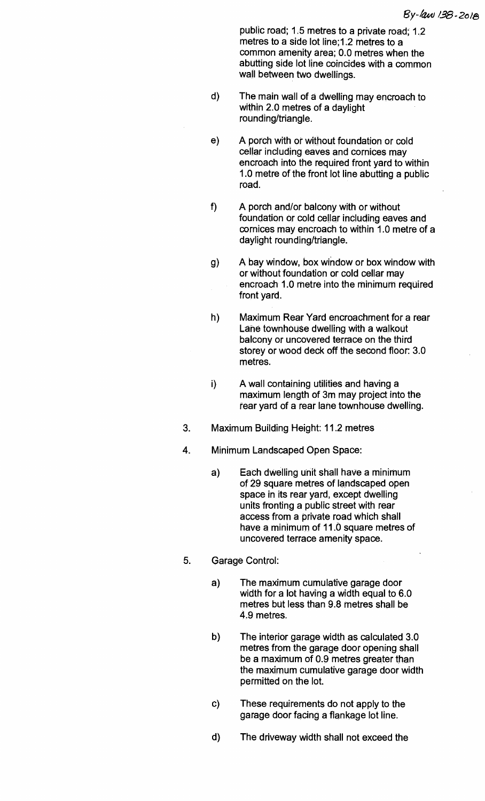**public road; 1.5 metres to a private road; 1.2 metres to a side lot line;1.2 metres to a common amenity area; 0.0 metres when the abutting side lot line coincides with a common wall between two dwellings.** 

- **d) The main wall of a dwelling may encroach to within 2.0 metres of a daylight rounding/triangle.**
- **e) A porch with or without foundation or cold cellar including eaves and cornices may encroach into the required front yard to within 1.0 metre of the front lot line abutting a public road.**
- **f) A porch and/or balcony with or without foundation or cold cellar including eaves and cornices may encroach to within 1.0 metre of a daylight rounding/triangle.**
- **g) A bay window, box window or box window with or without foundation or cold cellar may encroach 1.0 metre into the minimum required front yard.**
- **h) Maximum Rear Yard encroachment for a rear Lane townhouse dwelling with a walkout balcony or uncovered terrace on the third storey or wood deck off the second floor: 3.0 metres.**
- **i) A wall containing utilities and having a maximum length of 3m may project into the rear yard of a rear lane townhouse dwelling.**
- **3. Maximum Building Height: 11.2 metres**
- **4. Minimum Landscaped Open Space:** 
	- **a) Each dwelling unit shall have a minimum of 29 square metres of landscaped open space in its rear yard, except dwelling units fronting a public street with rear access from a private road which shall have a minimum of 11.0 square metres of uncovered terrace amenity space.**
- **5. Garage Control:** 
	- **a) The maximum cumulative garage door width for a lot having a width equal to 6.0 metres but less than 9.8 metres shall be 4.9 metres.**
	- **b) The interior garage width as calculated 3.0 metres from the garage door opening shall be a maximum of 0.9 metres greater than the maximum cumulative garage door width permitted on the lot.**
	- **c) These requirements do not apply to the garage door facing a flankage lot line.**
	- **d) The driveway width shall not exceed the**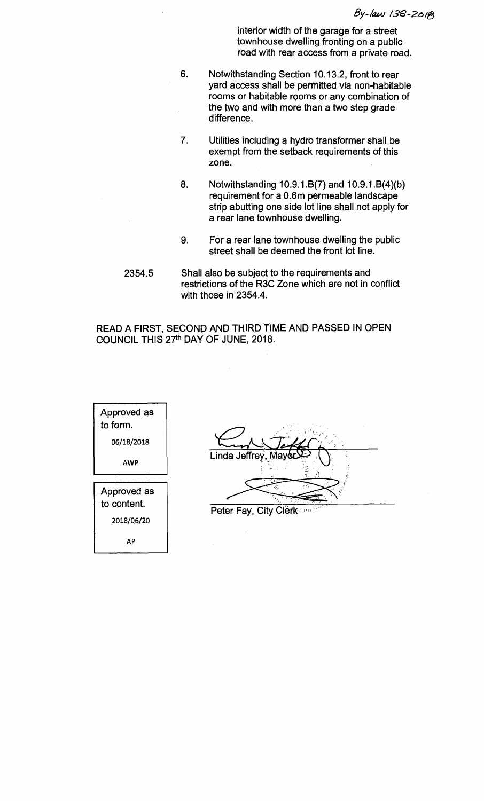**interior width of the garage for a street townhouse dwelling fronting on a public road with rear access from a private road.** 

- **6. Notwithstanding Section 10.13.2, front to rear yard access shall be permitted via non-habitable rooms or habitable rooms or any combination of the two and with more than a two step grade difference.**
- **7. Utilities including a hydro transformer shall be exempt from the setback requirements of this zone.**
- **8. Notwithstanding 10.9.1.6(7) and 10.9.1.6(4)(b) requirement for a 0.6m permeable landscape strip abutting one side lot line shall not apply for a rear lane townhouse dwelling.**
- **9. For a rear lane townhouse dwelling the public street shall be deemed the front lot line.**
- **2354.5 Shall also be subject to the requirements and restrictions of the R3C Zone which are not in conflict with those in 2354.4.**

**READ A FIRST, SECOND AND THIRD TIME AND PASSED IN OPEN**  COUNCIL THIS 27<sup>th</sup> DAY OF JUNE, 2018.

| Approved as<br>to form. |
|-------------------------|
| 06/18/2018              |
| AWP                     |
| Approved as             |
| to content.             |

2018/06/20

**AP** 

| Linda Jeffrey, Mayor |
|----------------------|
|                      |
| Œ                    |
|                      |

**Peter Fay, City Clérk, and an**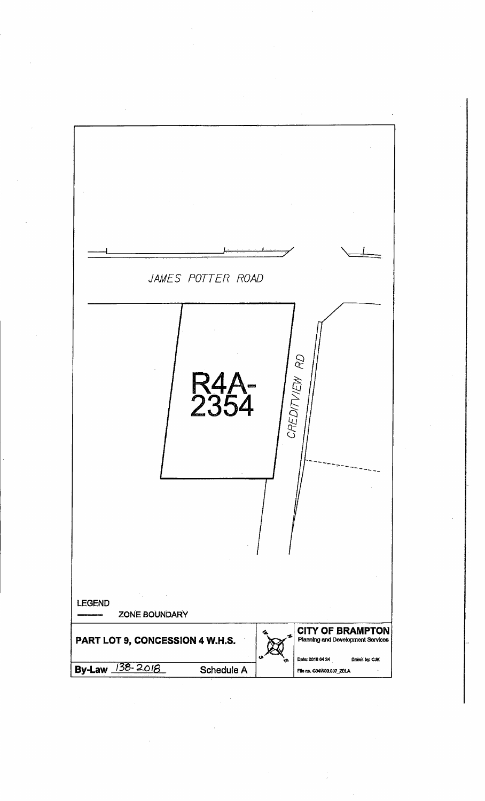